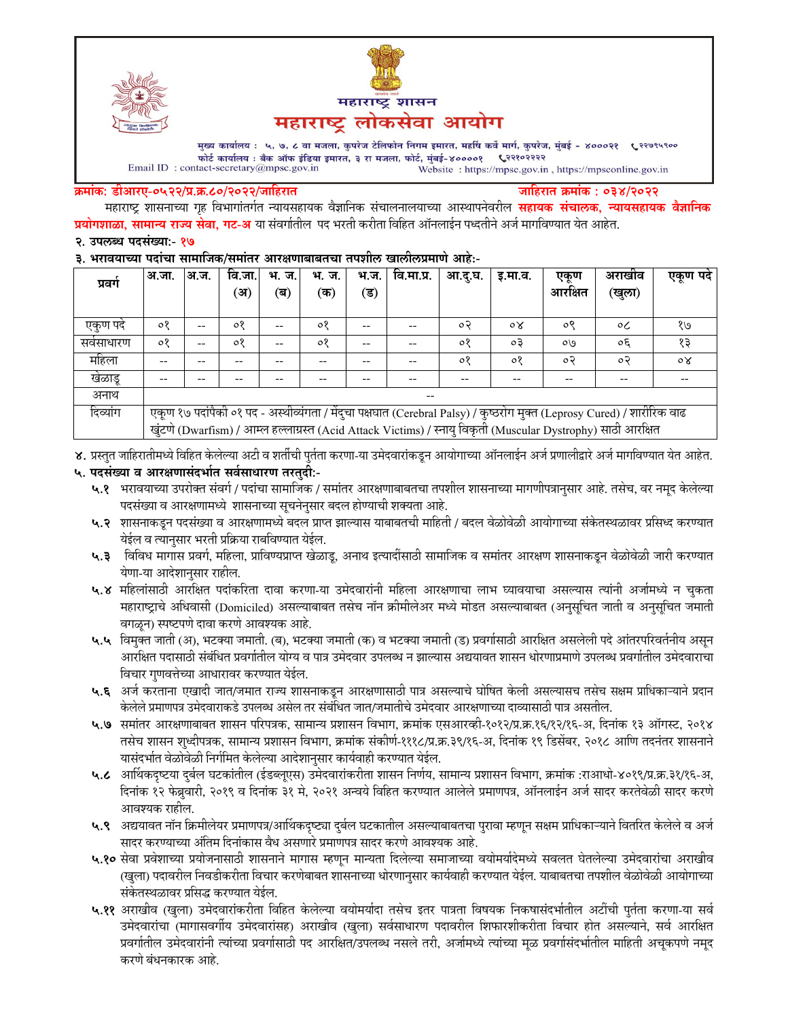



मुख्य कार्यालय : ५, ७, ८ वा मजला, कुपरेज टेलिफोन निगम इमारत, महर्षि कर्वे मार्ग, कुपरेज, मुंबई - ४०००२१ ९२९९९९०० फोर्ट कार्यालय : बँक ऑफ इंडिया इमारत, ३ रा मजला, फोर्ट, मुंबई-४००००१ ९२११०२२२२  $\label{eq:1} \textbf{Email ID: contact-secretary@mpsc.gov.in}$ Website: https://mpsc.gov.in, https://mpsconline.gov.in

#### क्रमांक: डीआरए-०५२२/प्र.क्र.८०/२०२२/जाहिरात

जाहिरात क्रमांक : ०३४/२०२२

महाराष्ट्र शासनाच्या गृह विभागांतर्गत न्यायसहायक वैज्ञानिक संचालनालयाच्या आस्थापनेवरील **सहायक संचालक, न्यायसहायक वैज्ञानिक प्रयोगशाळा, सामान्य राज्य सेवा, गट-अ** या संवर्गातील पद भरती करीता विहित ऑनलाईन पध्दतीने अर्ज मार्गावण्यात येत आहेत.

### २. उपलब्ध पदसंख्या:- १७

### ३. भरावयाच्या पदांचा सामाजिक/समांतर आरक्षणाबाबतचा तपशील खालीलप्रमाणे आहे:-

| प्रवग    | अ.जा.                                                                                                                   | अ.ज.  | वि.जा.  | भ. ज. | भ.<br>ज. | भ.ज. | वि.मा.प्र. | आ.द.घ.  | इ.मा.व.        | एकण     | अराखाव   | एकूण पदे       |
|----------|-------------------------------------------------------------------------------------------------------------------------|-------|---------|-------|----------|------|------------|---------|----------------|---------|----------|----------------|
|          |                                                                                                                         |       | (अ)     | (ब)   | (क)      | (ड)  |            |         |                | आरक्षित | (खुला)   |                |
|          |                                                                                                                         |       |         |       |          |      |            |         |                |         |          |                |
| एकण पद   | ०१                                                                                                                      | $- -$ | 08      | --    | $\circ$  |      | --         | o २     | $\circ \times$ | ०९      | $\circ$  | १७             |
| सवसाधारण | ०१                                                                                                                      | $- -$ | $\circ$ | --    | $\circ$  |      | --         | $\circ$ | oЗ             | OQ      | $\sigma$ | १३             |
| महिला    | --                                                                                                                      |       |         |       |          |      | --         | ०१      | ०१             | ०२      | $\circ$  | $\circ \times$ |
| खेळाडू   | --                                                                                                                      |       |         |       |          |      |            | --      | --             | --      | --       |                |
| अनाथ     | $\overline{\phantom{m}}$                                                                                                |       |         |       |          |      |            |         |                |         |          |                |
| दिव्यांग | एकूण १७ पदांपैकी ०१ पद - अस्थीव्यंगता / मेंदुचा पक्षघात (Cerebral Palsy) / कुष्ठरोग मुक्त (Leprosy Cured) / शारीरिक वाढ |       |         |       |          |      |            |         |                |         |          |                |
|          | खुंटणे (Dwarfism) / आम्ल हल्लाग्रस्त (Acid Attack Victims) / स्नायु विकृती (Muscular Dystrophy) साठी आरक्षित            |       |         |       |          |      |            |         |                |         |          |                |

४. प्रस्तुत जाहिरातीमध्ये विहित केलेल्या अटी व शर्तीची पुर्तता करणा-या उमेदवारांकडून आयोगाच्या ऑनलाईन अर्ज प्रणालीद्वारे अर्ज मार्गावण्यात येत आहेत.

# ५. पदसंख्या व आरक्षणासंदर्भात सर्वसाधारण तरतुदी:-

- ५.१ भरावयाच्या उपरोक्त संवर्ग / पदांचा सामाजिक / समांतर आरक्षणाबाबतचा तपशील शासनाच्या मागणीपत्रानुसार आहे. तसेच, वर नमूद केलेल्या पदसंख्या व आरक्षणामध्ये शासनाच्या सूचनेनुसार बदल होण्याची शक्यता आहे.
- ५.२ शासनाकडून पदसंख्या व आरक्षणामध्ये बदल प्राप्त झाल्यास याबाबतची माहिती / बदल वेळोवेळी आयोगाच्या संकेतस्थळावर प्रसिध्द करण्यात येईल व त्यानुसार भरती प्रक्रिया राबविण्यात येईल.
- ५.३ विविध मागास प्रवर्ग, महिला, प्राविण्यप्राप्त खेळाडू, अनाथ इत्यादींसाठी सामाजिक व समांतर आरक्षण शासनाकडून वेळोवेळी जारी करण्यात येणा-या आदेशानुसार राहील.
- ५.४ महिलांसाठी आरक्षित पदांकरिता दावा करणा-या उमेदवारांनी महिला आरक्षणाचा लाभ घ्यावयाचा असल्यास त्यांनी अर्जामध्ये न चुकता महाराष्ट्राचे अधिवासी (Domiciled) असल्याबाबत तसेच नॉन क्रीमीलेअर मध्ये मोडत असल्याबाबत (अनुसूचित जाती व अनुसूचित जमाती वगळून) स्पष्टपणे दावा करणे आवश्यक आहे.
- ५.५ विमुक्त जाती (अ), भटक्या जमाती. (ब), भटक्या जमाती (क) व भटक्या जमाती (ड) प्रवर्गासाठी आरक्षित असलेली पदे आंतरपरिवर्तनीय असून आरक्षित पदासाठी संबंधित प्रवर्गातील योग्य व पात्र उमेदवार उपलब्ध न झाल्यास अद्ययावत शासन धोरणाप्रमाणे उपलब्ध प्रवर्गातील उमेदवाराचा विचार गुणवत्तेच्या आधारावर करण्यात येईल.
- ५.६ अर्ज करताना एखादी जात/जमात राज्य शासनाकडून आरक्षणासाठी पात्र असल्याचे घोषित केली असल्यासच तसेच सक्षम प्राधिकाऱ्याने प्रदान केलेले प्रमाणपत्र उमेदवाराकडे उपलब्ध असेल तर संबंधित जात/जमातीचे उमेदवार आरक्षणाच्या दाव्यासाठी पात्र असतील.
- ५.७ समांतर आरक्षणाबाबत शासन परिपत्रक, सामान्य प्रशासन विभाग, क्रमांक एसआरव्ही-१०१२/प्र.क्र.१६/१२/१६-अ, दिनांक १३ ऑगस्ट, २०१४ तसेच शासन शुध्दीपत्रक, सामान्य प्रशासन विभाग, क्रमांक संकीर्ण-१११८/प्र.क्र.३९/१६-अ, दिनांक १९ डिसेंबर, २०१८ आणि तदनंतर शासनाने यासंदर्भात वेळोवेळी निर्गमित केलेल्या आदेशानुसार कार्यवाही करण्यात येईल.
- ५.८ आर्थिकदृष्टया दुर्बल घटकांतील (ईडब्लूएस) उमेदवारांकरीता शासन निर्णय, सामान्य प्रशासन विभाग, क्रमांक :राआधो-४०१९/प्र.क्र.३१/१६-अ, दिनांक १२ फेब्रुवारी, २०१९ व दिनांक ३१ मे, २०२१ अन्वये विहित करण्यात आलेले प्रमाणपत्र, ऑनलाईन अर्ज सादर करतेवेळी सादर करणे आवश्यक राहील.
- ५.९ अद्ययावत नॉन क्रिमीलेयर प्रमाणपत्र/आर्थिकदृष्ट्या दुर्बल घटकातील असल्याबाबतचा पुरावा म्हणून सक्षम प्राधिकाऱ्याने वितरित केलेले व अर्ज सादर करण्याच्या अंतिम दिनांकास वैध असणारे प्रमाणपत्र सादर करणे आवश्यक आहे.
- ५.१० सेवा प्रवेशाच्या प्रयोजनासाठी शासनाने मागास म्हणून मान्यता दिलेल्या समाजाच्या वयोमर्यादेमध्ये सवलत घेतलेल्या उमेदवारांचा अराखीव (खुला) पदावरील निवडीकरीता विचार करणेबाबत शासनाच्या धोरणानुसार कार्यवाही करण्यात येईल. याबाबतचा तपशील वेळोवेळी आयोगाच्या संकेतस्थळावर प्रसिद्ध करण्यात येईल.
- ५.११ अराखीव (खुला) उमेदवारांकरीता विहित केलेल्या वयोमर्यादा तसेच इतर पात्रता विषयक निकषासंदर्भातील अटींची पुर्तता करणा-या सर्व उमेदवारांचा (मागासवर्गीय उमेदवारांसह) अराखीव (खुला) सर्वसाधारण पदावरील शिफारशीकरीता विचार होत असल्याने, सर्व आरक्षित प्रवर्गातील उमेदवारांनी त्यांच्या प्रवर्गासाठी पद आरक्षित/उपलब्ध नसले तरी, अर्जामध्ये त्यांच्या मूळ प्रवर्गासंदर्भातील माहिती अचूकपणे नमूद करणे बंधनकारक आहे.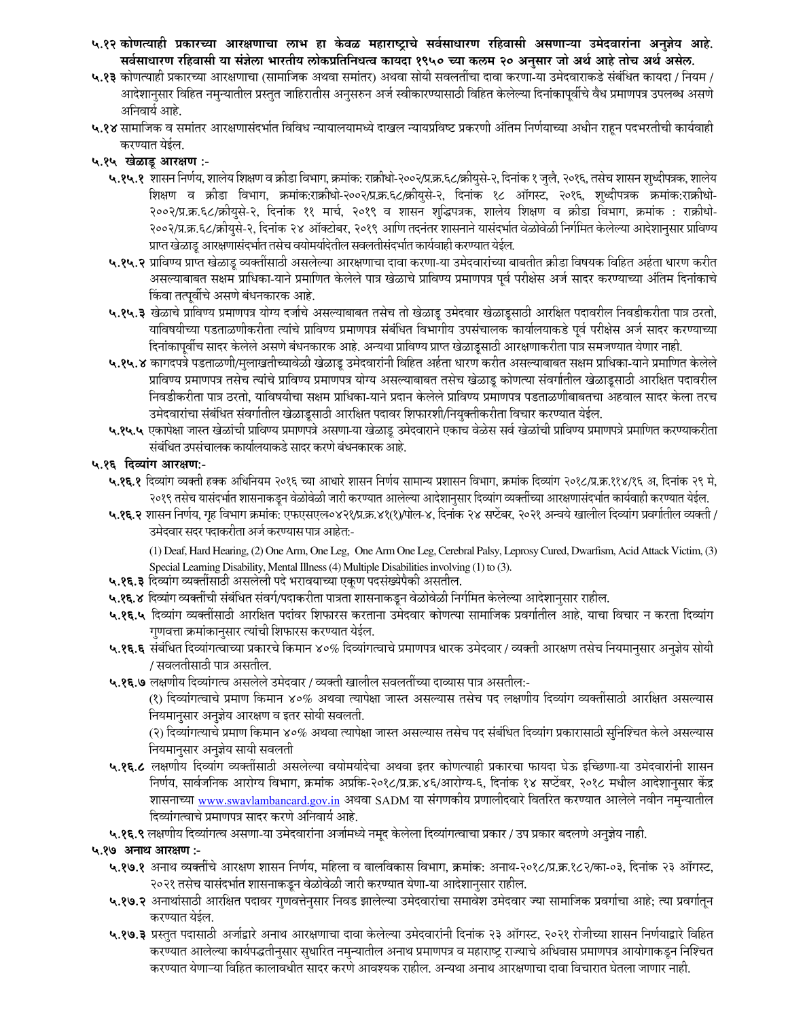- ५.१२ कोणत्याही प्रकारच्या आरक्षणाचा लाभ हा केवळ महाराष्ट्राचे सर्वसाधारण रहिवासी असणाऱ्या उमेदवारांना अनुज्ञेय आहे. सर्वसाधारण रहिवासी या संज्ञेला भारतीय लोकप्रतिनिधत्व कायदा १९५० च्या कलम २० अनुसार जो अर्थ आहे तोच अर्थ असेल.
- ५.१३ कोणत्याही प्रकारच्या आरक्षणाचा (सामाजिक अथवा समांतर) अथवा सोयी सवलतींचा दावा करणा-या उमेदवाराकडे संबंधित कायदा / नियम / आदेशानुसार विहित नमुन्यातील प्रस्तुत जाहिरातीस अनुसरुन अर्ज स्वीकारण्यासाठी विहित केलेल्या दिनांकापूर्वीचे वैध प्रमाणपत्र उपलब्ध असणे अनिवार्य आहे.
- ५.१४ सामाजिक व समांतर आरक्षणासंदर्भात विविध न्यायालयामध्ये दाखल न्यायप्रविष्ट प्रकरणी अंतिम निर्णयाच्या अधीन राहून पदभरतीची कार्यवाही करण्यात येईल.

## ५.१५ खेळाडू आरक्षण :-

- ५.१५.१ शासन निर्णय, शालेय शिक्षण व क्रीडा विभाग, क्रमांक: राक्रीधो-२००२/प्र.क्र.६८/क्रीयुसे-२, दिनांक १ जुलै, २०१६, तसेच शासन शुध्दीपत्रक, शालेय शिक्षण व क्रीडा विभाग, क्रमांक:राक्रीधो-२००२/प्र.क.६८/क्रीयुसे-२, दिनांक १८ ऑगस्ट, २०१६, शुध्दीपत्रक क्रमांक:राक्रीधो-२००२/प्र.क्र.६८/क्रीयुसे-२, दिनांक ११ मार्च, २०१९ व शासन शुद्धिपत्रक, शालेय शिक्षण व क्रीडा विभाग, क्रमांक : राक्रीधो-२००२/प्र.क्र.६८/क्रीयुसे-२, दिनांक २४ ऑक्टोबर, २०१९ आणि तदनंतर शासनाने यासंदर्भात वेळोवेळी निर्गमित केलेल्या आदेशानुसार प्राविण्य प्राप्त खेळाडू आरक्षणासंदर्भात तसेच वयोमर्यादेतील सवलतीसंदर्भात कार्यवाही करण्यात येईल.
- ५.१५.२ प्राविण्य प्राप्त खेळाडू व्यक्तींसाठी असलेल्या आरक्षणाचा दावा करणा-या उमेदवारांच्या बाबतीत क्रीडा विषयक विहित अर्हता धारण करीत असल्याबाबत सक्षम प्राधिका-याने प्रमाणित केलेले पात्र खेळाचे प्राविण्य प्रमाणपत्र पूर्व परीक्षेस अर्ज सादर करण्याच्या अंतिम दिनांकाचे किंवा तत्पूर्वीचे असणे बंधनकारक आहे.
- ५.१५.३ खेळाचे प्राविण्य प्रमाणपत्र योग्य दर्जाचे असल्याबाबत तसेच तो खेळाडू उमेदवार खेळाडूसाठी आरक्षित पदावरील निवडीकरीता पात्र ठरतो, याविषयीच्या पडताळणीकरीता त्यांचे प्राविण्य प्रमाणपत्र संबंधित विभागीय उपसंचालक कार्यालयाकडे पूर्व परीक्षेस अर्ज सादर करण्याच्या दिनांकापूर्वीच सादर केलेले असणे बंधनकारक आहे. अन्यथा प्राविण्य प्राप्त खेळाडूसाठी आरक्षणाकरीता पात्र समजण्यात येणार नाही.
- ५.१५.४ कागदपत्रे पडताळणी/मुलाखतीच्यावेळी खेळाडू उमेदवारांनी विहित अर्हता धारण करीत असल्याबाबत सक्षम प्राधिका-याने प्रमाणित केलेले प्राविण्य प्रमाणपत्र तसेच त्यांचे प्राविण्य प्रमाणपत्र योग्य असल्याबाबत तसेच खेळाडू कोणत्या संवर्गातील खेळाडूसाठी आरक्षित पदावरील निवडीकरीता पात्र ठरतो, याविषयीचा सक्षम प्राधिका-याने प्रदान केलेले प्राविण्य प्रमाणपत्र पडताळणीबाबतचा अहवाल सादर केला तरच उमेदवारांचा संबंधित संवर्गातील खेळाडूसाठी आरक्षित पदावर शिफारशी/नियुक्तीकरीता विचार करण्यात येईल.
- ५.१५.५ एकापेक्षा जास्त खेळांची प्राविण्य प्रमाणपत्रे असणा-या खेळाडू उमेदवाराने एकाच वेळेस सर्व खेळांची प्राविण्य प्रमाणपत्रे प्रमाणित करण्याकरीता संबंधित उपसंचालक कार्यालयाकडे सादर करणे बंधनकारक आहे.

### ५.१६ दिव्यांग आरक्षण:-

- ५.**१६.१** दिव्यांग व्यक्ती हक्क अधिनियम २०१६ च्या आधारे शासन निर्णय सामान्य प्रशासन विभाग, क्रमांक दिव्यांग २०१८/प्र.क्र.११४/१६ अ, दिनांक २९ मे, २०१९ तसेच यासंदर्भात शासनाकडून वेळोवेळी जारी करण्यात आलेल्या आदेशानुसार दिव्यांग व्यक्तींच्या आरक्षणासंदर्भात कार्यवाही करण्यात येईल.
- ५.१६.२ शासन निर्णय, गृह विभाग क्रमांक: एफएसएल०४२१/प्र.क्र.४१(१)/पोल-४, दिनांक २४ सप्टेंबर, २०२१ अन्वये खालील दिव्यांग प्रवर्गातील व्यक्ती / उमेदवार सदर पदाकरीता अर्ज करण्यास पात्र आहेत:-

(1) Deaf, Hard Hearing, (2) One Arm, One Leg, One Arm One Leg, Cerebral Palsy, Leprosy Cured, Dwarfism, Acid Attack Victim, (3) Special Learning Disability, Mental Illness (4) Multiple Disabilities involving (1) to (3).

- ५.१६.३ दिव्यांग व्यक्तींसाठी असलेली पदे भरावयाच्या एकूण पदसंख्येपैकी असतील.
- ५.१६.४ दिव्यांग व्यक्तींची संबंधित संवर्ग/पदाकरीता पात्रता शासनाकडून वेळोवेळी निर्गमित केलेल्या आदेशानुसार राहील.
- ५.१६.५ दिव्यांग व्यक्तींसाठी आरक्षित पदांवर शिफारस करताना उमेदवार कोणत्या सामाजिक प्रवर्गातील आहे, याचा विचार न करता दिव्यांग गुणवत्ता क्रमांकानुसार त्यांची शिफारस करण्यात येईल.
- ५.१६.६ संबंधित दिव्यांगत्वाच्या प्रकारचे किमान ४०% दिव्यांगत्वाचे प्रमाणपत्र धारक उमेदवार / व्यक्ती आरक्षण तसेच नियमानुसार अनुज्ञेय सोयी / सवलतीसाठी पात्र असतील.
- ५.१६.७ लक्षणीय दिव्यांगत्व असलेले उमेदवार / व्यक्ती खालील सवलतींच्या दाव्यास पात्र असतील:-

(१) दिव्यांगत्वाचे प्रमाण किमान ४०% अथवा त्यापेक्षा जास्त असल्यास तसेच पद लक्षणीय दिव्यांग व्यक्तींसाठी आरक्षित असल्यास नियमानुसार अनुज्ञेय आरक्षण व इतर सोयी सवलती.

(२) दिव्यांगत्याचे प्रमाण किमान ४०% अथवा त्यापेक्षा जास्त असल्यास तसेच पद संबंधित दिव्यांग प्रकारासाठी सुनिश्चित केले असल्यास नियमानुसार अनुज्ञेय सायी सवलती

५.१६.८ लक्षणीय दिव्यांग व्यक्तींसाठी असलेल्या वयोमर्यादेचा अथवा इतर कोणत्याही प्रकारचा फायदा घेऊ इच्छिणा-या उमेदवारांनी शासन निर्णय, सार्वजनिक आरोग्य विभाग, क्रमांक अप्रकि-२०१८/प्र.क्र.४६/आरोग्य-६, दिनांक १४ सप्टेंबर, २०१८ मधील आदेशानुसार केंद्र शासनाच्या www.swavlambancard.gov.in अथवा SADM या संगणकीय प्रणालीदवारे वितरित करण्यात आलेले नवीन नमुन्यातील दिव्यांगत्वाचे प्रमाणपत्र सादर करणे अनिवार्य आहे.

५.१६.९ लक्षणीय दिव्यांगत्व असणा-या उमेदवारांना अर्जामध्ये नमूद केलेला दिव्यांगत्वाचा प्रकार / उप प्रकार बदलणे अनुज्ञेय नाही.

५.१७ अनाथ आरक्षण :-

- ५.१७.१ अनाथ व्यक्तींचे आरक्षण शासन निर्णय, महिला व बालविकास विभाग, क्रमांक: अनाथ-२०१८/प्र.क्र.१८२/का-०३, दिनांक २३ ऑगस्ट, २०२१ तसेच यासंदर्भात शासनाकडून वेळोवेळी जारी करण्यात येणा-या आदेशानुसार राहील.
- ५.१७.२ अनाथांसाठी आरक्षित पदावर गुणवत्तेनुसार निवड झालेल्या उमेदवारांचा समावेश उमेदवार ज्या सामाजिक प्रवर्गाचा आहे; त्या प्रवर्गातून करण्यात येईल.
- ५.१७.३ प्रस्तुत पदासाठी अर्जाद्वारे अनाथ आरक्षणाचा दावा केलेल्या उमेदवारांनी दिनांक २३ ऑगस्ट, २०२१ रोजीच्या शासन निर्णयाद्वारे विहित करण्यात आलेल्या कार्यपद्धतीनुसार सुधारित नमुन्यातील अनाथ प्रमाणपत्र व महाराष्ट्र राज्याचे अधिवास प्रमाणपत्र आयोगाकडून निश्चित करण्यात येणाऱ्या विहित कालावधीत सादर करणे आवश्यक राहील. अन्यथा अनाथ आरक्षणाचा दावा विचारात घेतला जाणार नाही.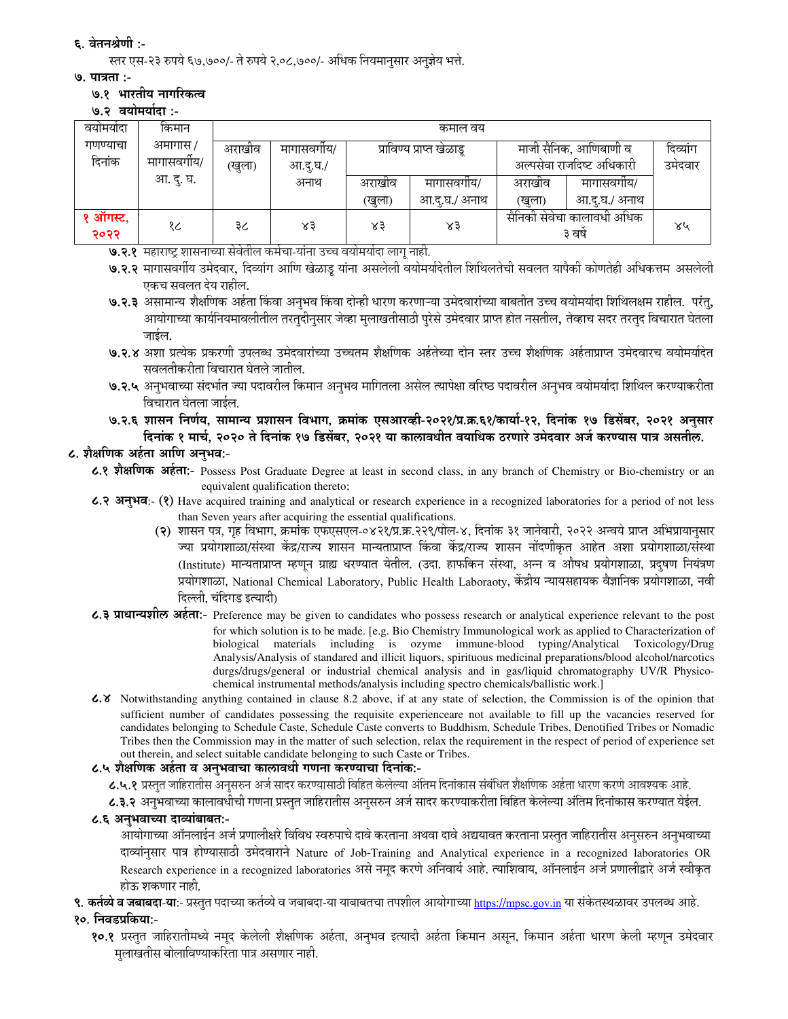# ६. वेतनश्रेणी :-

स्तर एस-२३ रुपये ६७,७००/- ते रुपये २,०८,७००/- अधिक नियमानुसार अनुज्ञेय भत्ते.

### ७. पात्रता :-

# ७.१ भारतीय नागरिकत्व

७.२ वयोमर्यादा :-

| वयामयादा | किमान        | कमाल वय |            |        |                          |                           |                            |         |  |
|----------|--------------|---------|------------|--------|--------------------------|---------------------------|----------------------------|---------|--|
| गणण्याचा | अमागास /     | अराखीव  | मागासवगीय/ |        | प्राविण्य प्राप्त खेळाडू | माजी सैनिक, आणिबाणी व     | दिव्यांग                   |         |  |
| दिनांक   | मागासवर्गीय/ | (खुला)  | आ.द.घ./    |        |                          | अल्पसेवा राजदिष्ट अधिकारी |                            | उमेदवार |  |
|          | आ. दु. घ.    |         | अनाथ       | अराखीव | मागासवगोय/               | अराखीव                    | मागासवगीय/                 |         |  |
|          |              |         |            | (खुला) | आ.दु.घ./ अनाथ            | (खुला)                    | आ.दु.घ./ अनाथ              |         |  |
| १ ऑगस्ट, | १८           | ३८      | ४३         | 83     | ४३                       |                           | सैनिकी सेवेचा कालावधी अधिक | ४५      |  |
| २०२२     |              |         |            |        |                          |                           | ३ वर्ष                     |         |  |

७.२.१ महाराष्ट्र शासनाच्या सेवेतील कर्मचा-यांना उच्च वयोमर्यादा लागू नाही.

- ७.२.२ मागासवर्गीय उमेदवार, दिव्यांग आणि खेळाडू यांना असलेली वयोमर्यादेतील शिथिलतेची सवलत यापैकी कोणतेही अधिकत्तम असलेली एकच सवलत देय राहील.
- ७.२.३ असामान्य शैक्षणिक अर्हता किंवा अनुभव किंवा दोन्ही धारण करणाऱ्या उमेदवारांच्या बाबतीत उच्च वयोमर्यादा शिथिलक्षम राहील. परंतु, .<br>आयोगाच्या कार्यनियमावलीतील तरतुदीनुसार जेव्हा मुलाखतीसाठी पुरेसे उमेदवार प्राप्त होत नसतील, तेव्हाच सदर तरतुद विचारात घेतला जाईल.
- ७.२.४ अशा प्रत्येक प्रकरणी उपलब्ध उमेदवारांच्या उच्चतम शैक्षणिक अर्हतेच्या दोन स्तर उच्च शैक्षणिक अर्हताप्राप्त उमेदवारच वयोमर्यादेत सवलतीकरीता विचारात घेतले जातील.
- ७.२.५ अनुभवाच्या संदर्भात ज्या पदावरील किमान अनुभव मागितला असेल त्यापेक्षा वरिष्ठ पदावरील अनुभव वयोमर्यादा शिथिल करण्याकरीता विचारात घेतला जाईल.
- ७.२.६ शासन निर्णय, सामान्य प्रशासन विभाग, क्रमांक एसआरव्ही-२०२१/प्र.क्र.६१/कार्या-१२, दिनांक १७ डिसेंबर, २०२१ अनुसार दिनांक १ मार्च, २०२० ते दिनांक १७ डिसेंबर, २०२१ या कालावधीत वयाधिक ठरणारे उमेदवार अर्ज करण्यास पात्र असतील.

# ८. शैक्षणिक अर्हता आणि अनुभव:-

८.१ शैक्षणिक अर्हता:- Possess Post Graduate Degree at least in second class, in any branch of Chemistry or Bio-chemistry or an equivalent qualification thereto;

- ८.२ अनुभव:- (१) Have acquired training and analytical or research experience in a recognized laboratories for a period of not less than Seven years after acquiring the essential qualifications.
	- (२) शासन पत्र, गृह विभाग, क्रमांक एफएसएल-०४२१/प्र.क्र.२२९/पोल-४, दिनांक ३१ जानेवारी, २०२२ अन्वये प्राप्त अभिप्रायानुसार ज्या प्रयोगशाळा/संस्था केंद्र/राज्य शासन मान्यताप्राप्त किंवा केंद्र/राज्य शासन नोंदणीकृत आहेत अशा प्रयोगशाळा/संस्था (Institute) मान्यताप्राप्त म्हणून ग्राह्य धरण्यात येतील. (उदा. हाफकिन संस्था, अन्न व औषध प्रयोगशाळा, प्रदुषण नियंत्रण प्रयोगशाळा, National Chemical Laboratory, Public Health Laboraoty, केंद्रीय न्यायसहायक वैज्ञानिक प्रयोगशाळा, नवी दिल्ली. चंदिगड इत्यादी)
- ८.३ प्राधान्यशील अर्हता:- Preference may be given to candidates who possess research or analytical experience relevant to the post for which solution is to be made. [e.g. Bio Chemistry Immunological work as applied to Characterization of biological materials including is ozyme immune-blood typing/Analytical Toxicology/Drug Analysis/Analysis of standared and illicit liquors, spirituous medicinal preparations/blood alcohol/narcotics durgs/drugs/general or industrial chemical analysis and in gas/liquid chromatography UV/R Physicochemical instrumental methods/analysis including spectro chemicals/ballistic work.]
- 6.8 Notwithstanding anything contained in clause 8.2 above, if at any state of selection, the Commission is of the opinion that sufficient number of candidates possessing the requisite experienceare not available to fill up the vacancies reserved for candidates belonging to Schedule Caste, Schedule Caste converts to Buddhism, Schedule Tribes, Denotified Tribes or Nomadic Tribes then the Commission may in the matter of such selection, relax the requirement in the respect of period of experience set out therein, and select suitable candidate belonging to such Caste or Tribes.

## ८.५ शैक्षणिक अर्हता व अनुभवाचा कालावधी गणना करण्याचा दिनांक:-

८.५.१ प्रस्तुत जाहिरातीस अनुसरुन अर्ज सादर करण्यासाठी विहित केलेल्या अंतिम दिनांकास संबंधित शैक्षणिक अर्हता धारण करणे आवश्यक आहे.

८.३.२ अनुभवाच्या कालावधीची गणना प्रस्तुत जाहिरातीस अनुसरुन अर्ज सादर करण्याकरीता विहित केलेल्या अंतिम दिनांकास करण्यात येईल.

## ८.६ अनभवाच्या दाव्यांबाबत:-

आयोगाच्या ऑनलाईन अर्ज प्रणालीक्षरे विविध स्वरुपाचे दावे करताना अथवा दावे अद्ययावत करताना प्रस्तुत जाहिरातीस अनुसरुन अनुभवाच्या दाव्यांनुसार पात्र होण्यासाठी उमेदवाराने Nature of Job-Training and Analytical experience in a recognized laboratories OR Research experience in a recognized laboratories असे नमूद करणे अनिवार्य आहे. त्याशिवाय, ऑनलाईन अर्ज प्रणालीद्वारे अर्ज स्वीकृत होऊ शकणार नाही.

९. कर्तव्ये व जबाबदा-या:- प्रस्तुत पदाच्या कर्तव्ये व जबाबदा-या याबाबतचा तपशील आयोगाच्या https://mpsc.gov.in या संकेतस्थळावर उपलब्ध आहे.

## १०. निवडप्रकिया:-

१०.१ प्रस्तुत जाहिरातीमध्ये नमुद केलेली शैक्षणिक अर्हता, अनुभव इत्यादी अर्हता किमान असून, किमान अर्हता धारण केली म्हणून उमेदवार मुलाखतीस बोलाविण्याकरिता पात्र असणार नाही.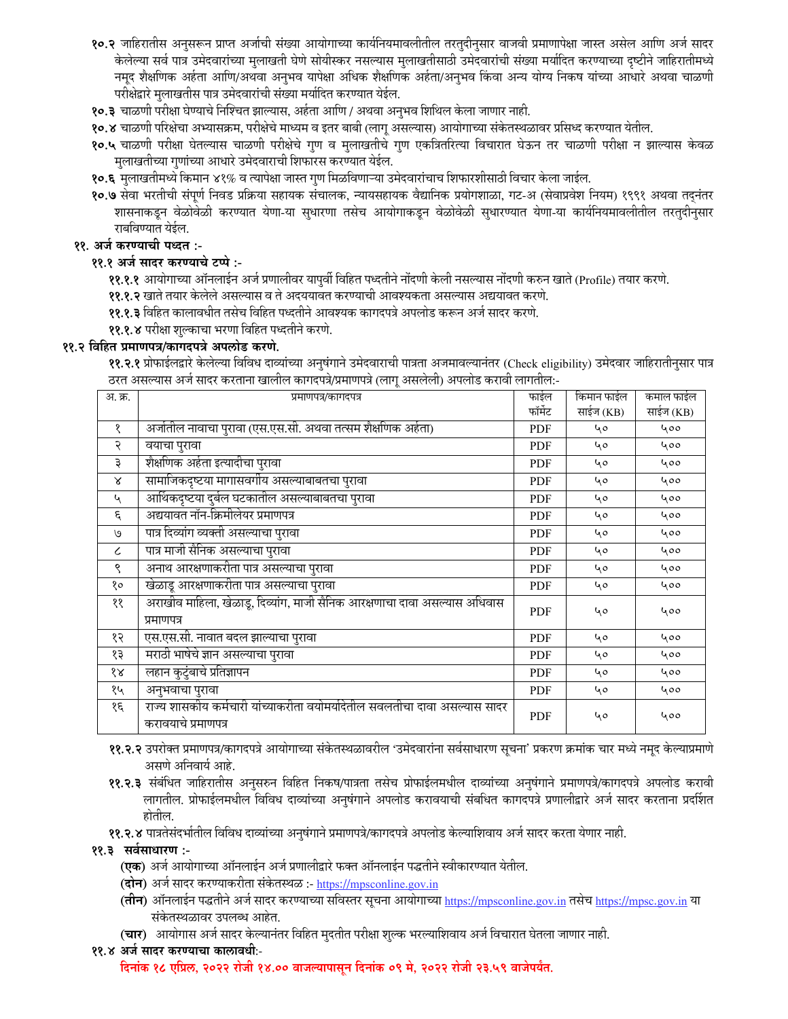- १०.२ जाहिरातीस अनुसरून प्राप्त अर्जाची संख्या आयोगाच्या कार्यनियमावलीतील तरतुदीनुसार वाजवी प्रमाणापेक्षा जास्त असेल आणि अर्ज सादर केलेल्या सर्व पात्र उमेदवारांच्या मुलाखती घेणे सोयीस्कर नसल्यास मुलाखतीसाठी उमेदवारांची संख्या मर्यादित करण्याच्या दृष्टीने जाहिरातीमध्ये नमूद शैक्षणिक अर्हता आणि/अथवा अनुभव यापेक्षा अधिक शैक्षणिक अर्हता/अनुभव किंवा अन्य योग्य निकष यांच्या आधारे अथवा चाळणी परीक्षेद्वारे मुलाखतीस पात्र उमेदवारांची संख्या मर्यादित करण्यात येईल.
- १०.३ चाळणी परीक्षा घेण्याचे निश्चित झाल्यास, अर्हता आणि / अथवा अनुभव शिथिल केला जाणार नाही.
- १०.४ चाळणी परिक्षेचा अभ्यासक्रम, परीक्षेचे माध्यम व इतर बाबी (लागू असल्यास) आयोगाच्या संकेतस्थळावर प्रसिध्द करण्यात येतील.
- १०.५ चाळणी परीक्षा घेतल्यास चाळणी परीक्षेचे गुण व मुलाखतीचे गुण एकत्रितरित्या विचारात घेऊन तर चाळणी परीक्षा न झाल्यास केवळ मुलाखतीच्या गुणांच्या आधारे उमेदवाराची शिफारस करण्यात येईल.
- १०.६ मुलाखतीमध्ये किमान ४१% व त्यापेक्षा जास्त गुण मिळविणाऱ्या उमेदवारांचाच शिफारशीसाठी विचार केला जाईल.
- १०.७ सेवा भरतीची संपूर्ण निवड प्रक्रिया सहायक संचालक, न्यायसहायक वैद्यानिक प्रयोगशाळा, गट-अ (सेवाप्रवेश नियम) १९९१ अथवा तद्नंतर शासनाकडून वेळोवेळी करण्यात येणा-या सुधारणा तसेच आयोगाकडून वेळोवेळी सुधारण्यात येणा-या कार्यानयमावलीतील तरतुदीनुसार राबविण्यात येईल.

## ११. अर्ज करण्याची पध्दत :-

## ११.१ अर्ज सादर करण्याचे टप्पे :-

११.१.१ आयोगाच्या ऑनलाईन अर्ज प्रणालीवर यापूर्वी विहित पध्दतीने नोंदणी केली नसल्यास नोंदणी करुन खाते (Profile) तयार करणे.

११.१.२ खाते तयार केलेले असल्यास व ते अदययावत करण्याची आवश्यकता असल्यास अद्ययावत करणे.

११.१.३ विहित कालावधीत तसेच विहित पध्दतीने आवश्यक कागदपत्रे अपलोड करून अर्ज सादर करणे.

**११.१.४** परीक्षा शुल्काचा भरणा विहित पध्दतीने करणे.

### ११.२ विहित प्रमाणपत्र/कागदपत्रे अपलोड करणे.

११.२.१ प्रोफाईलद्वारे केलेल्या विविध दाव्यांच्या अनुषंगाने उमेदवाराची पात्रता अजमावल्यानंतर (Check eligibility) उमेदवार जाहिरातीनुसार पात्र ठरत असल्यास अर्ज सादर करताना खालील कागदपत्रे/प्रमाणपत्रे (लाग असलेली) अपलोड करावी लागतील:-

| अ. क्र.                     | प्रमाणपत्र/कागदपत्र                                                                               | फाईल       | किमान फाईल | कमाल फाईल |
|-----------------------------|---------------------------------------------------------------------------------------------------|------------|------------|-----------|
|                             |                                                                                                   | फॉर्मेट    | साईज (KB)  | साईज (KB) |
| १                           | अर्जातील नावाचा पुरावा (एस.एस.सी. अथवा तत्सम शैक्षणिक अर्हता)                                     | PDF        | 40         | 400       |
| २                           | वयाचा पुरावा                                                                                      | PDF        | 40         | 400       |
| ३                           | शैक्षणिक अर्हता इत्यादीचा पुरावा                                                                  | <b>PDF</b> | 40         | 400       |
| Χ                           | सामाजिकदृष्टया मागासवर्गीय असल्याबाबतचा पुरावा                                                    | <b>PDF</b> | 40         | 400       |
| $\mathcal{L}_{\mathcal{A}}$ | आर्थिकदृष्टया दुर्बल घटकातील असल्याबाबतचा पुरावा                                                  | PDF        | 40         | 400       |
| ξ                           | अद्ययावत नॉन-क्रिमीलेयर प्रमाणपत्र                                                                | <b>PDF</b> | 40         | 400       |
| ٯا                          | पात्र दिव्यांग व्यक्ती असल्याचा पुरावा                                                            | PDF        | 40         | 400       |
| $\epsilon$                  | पात्र माजी सैनिक असल्याचा पुरावा                                                                  | <b>PDF</b> | 40         | 400       |
| ९                           | अनाथ आरक्षणाकरीता पात्र असल्याचा पुरावा                                                           | PDF        | ५०         | 400       |
| १०                          | खेळाडू आरक्षणाकरीता पात्र असल्याचा पुरावा                                                         | PDF        | 40         | 400       |
| ११                          | अराखीव माहिला, खेळाडू, दिव्यांग, माजी सैनिक आरक्षणाचा दावा असल्यास अधिवास<br>प्रमाणपत्र           | <b>PDF</b> | 40         | 400       |
| १२                          | एस.एस.सी. नावात बदल झाल्याचा पुरावा                                                               | <b>PDF</b> | 40         | 400       |
| १३                          | मराठी भाषेचे ज्ञान असल्याचा पुरावा                                                                | PDF        | 40         | 400       |
| १४                          | लहान कुटुंबाचे प्रतिज्ञापन                                                                        | PDF        | 40         | 400       |
| १५                          | अनुभवाचा पुरावा                                                                                   | PDF        | 40         | 400       |
| १६                          | राज्य शासकीय कर्मचारी यांच्याकरीता वयोमर्यादेतील सवलतीचा दावा असल्यास सादर<br>करावयाचे प्रमाणपत्र | <b>PDF</b> | ५०         | 400       |

- ११.२.२ उपरोक्त प्रमाणपत्र/कागदपत्रे आयोगाच्या संकेतस्थळावरील 'उमेदवारांना सर्वसाधारण सूचना' प्रकरण क्रमांक चार मध्ये नमूद केल्याप्रमाणे असणे अनिवार्य आहे.
- ११.२.३ संबंधित जाहिरातीस अनुसरुन विहित निकष/पात्रता तसेच प्रोफाईलमधील दाव्यांच्या अनुषंगाने प्रमाणपत्रे/कागदपत्रे अपलोड करावी लागतील. प्रोफाईलमधील विविध दाव्यांच्या अनुषंगाने अपलोड करावयाची संबधित कागदपत्रे प्रणालीद्वारे अर्ज सादर करताना प्रदर्शित होतील.
- ११.२.४ पात्रतेसंदर्भातील विविध दाव्यांच्या अनुषंगाने प्रमाणपत्रे/कागदपत्रे अपलोड केल्याशिवाय अर्ज सादर करता येणार नाही.
- ११.३ सर्वसाधारण :-
	- (एक) अर्ज आयोगाच्या ऑनलाईन अर्ज प्रणालीद्वारे फक्त ऑनलाईन पद्धतीने स्वीकारण्यात येतील.
	- (**दोन**) अर्ज सादर करण्याकरीता संकेतस्थळ :- <u>https://mpsconline.gov.in</u>
	- (तीन) ऑनलाईन पद्धतीने अर्ज सादर करण्याच्या सविस्तर सूचना आयोगाच्या https://mpsconline.gov.in तसेच https://mpsc.gov.in या संकेतस्थळावर उपलब्ध आहेत.
	- (चार) आयोगास अर्ज सादर केल्यानंतर विहित मुदतीत परीक्षा शुल्क भरल्याशिवाय अर्ज विचारात घेतला जाणार नाही.

### ११.४ अर्ज सादर करण्याचा कालावधीः-

दिनांक १८ एप्रिल, २०२२ रोजी १४.०० वाजल्यापासून दिनांक ०९ मे, २०२२ रोजी २३.५९ वाजेपर्यंत.